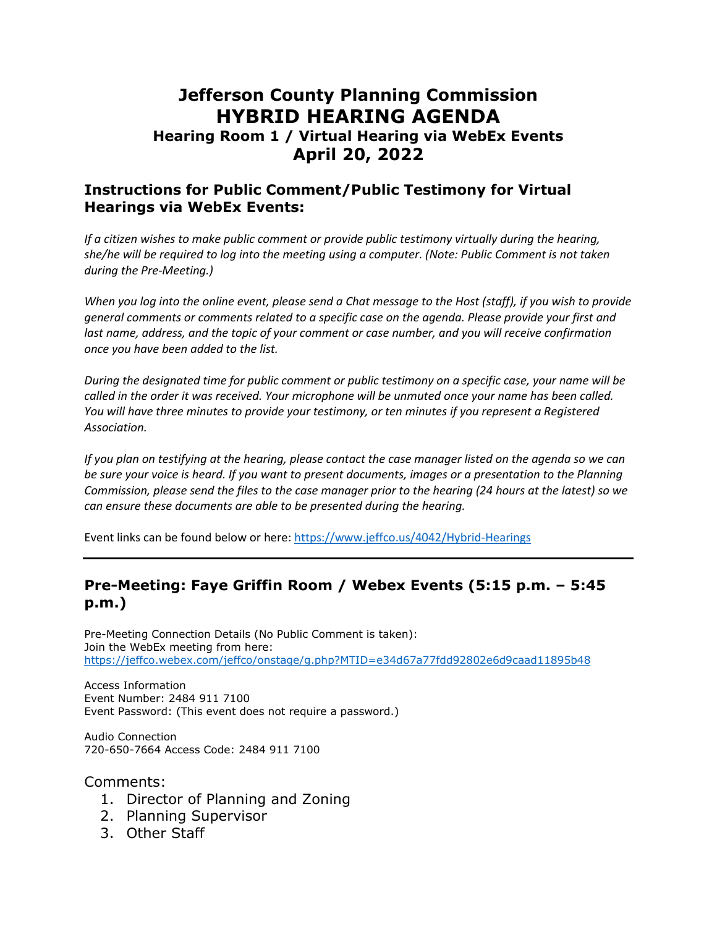# **Jefferson County Planning Commission HYBRID HEARING AGENDA**

### **Hearing Room 1 / Virtual Hearing via WebEx Events April 20, 2022**

#### **Instructions for Public Comment/Public Testimony for Virtual Hearings via WebEx Events:**

*If a citizen wishes to make public comment or provide public testimony virtually during the hearing, she/he will be required to log into the meeting using a computer. (Note: Public Comment is not taken during the Pre-Meeting.)*

*When you log into the online event, please send a Chat message to the Host (staff), if you wish to provide general comments or comments related to a specific case on the agenda. Please provide your first and*  last name, address, and the topic of your comment or case number, and you will receive confirmation *once you have been added to the list.*

*During the designated time for public comment or public testimony on a specific case, your name will be called in the order it was received. Your microphone will be unmuted once your name has been called. You will have three minutes to provide your testimony, or ten minutes if you represent a Registered Association.*

*If you plan on testifying at the hearing, please contact the case manager listed on the agenda so we can be sure your voice is heard. If you want to present documents, images or a presentation to the Planning Commission, please send the files to the case manager prior to the hearing (24 hours at the latest) so we can ensure these documents are able to be presented during the hearing.*

Event links can be found below or here:<https://www.jeffco.us/4042/Hybrid-Hearings>

#### **Pre-Meeting: Faye Griffin Room / Webex Events (5:15 p.m. – 5:45 p.m.)**

Pre-Meeting Connection Details (No Public Comment is taken): Join the WebEx meeting from here: <https://jeffco.webex.com/jeffco/onstage/g.php?MTID=e34d67a77fdd92802e6d9caad11895b48>

Access Information Event Number: 2484 911 7100 Event Password: (This event does not require a password.)

Audio Connection 720-650-7664 Access Code: 2484 911 7100

Comments:

- 1. Director of Planning and Zoning
- 2. Planning Supervisor
- 3. Other Staff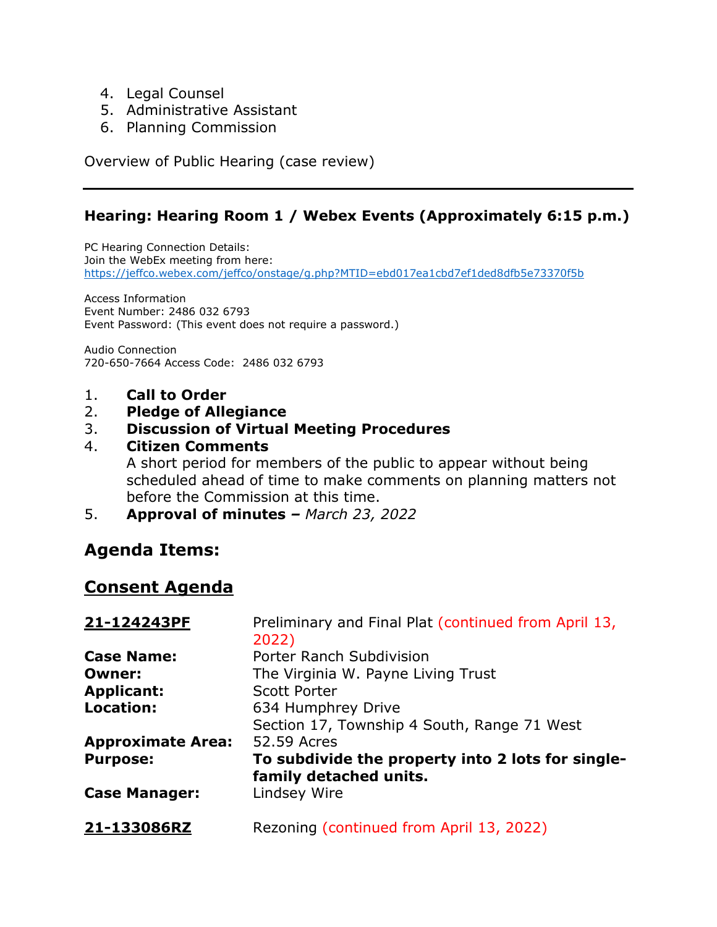- 4. Legal Counsel
- 5. Administrative Assistant
- 6. Planning Commission

Overview of Public Hearing (case review)

## **Hearing: Hearing Room 1 / Webex Events (Approximately 6:15 p.m.)**

PC Hearing Connection Details: Join the WebEx meeting from here: <https://jeffco.webex.com/jeffco/onstage/g.php?MTID=ebd017ea1cbd7ef1ded8dfb5e73370f5b>

Access Information Event Number: 2486 032 6793 Event Password: (This event does not require a password.)

Audio Connection 720-650-7664 Access Code: 2486 032 6793

- 1. **Call to Order**
- 2. **Pledge of Allegiance**

#### 3. **Discussion of Virtual Meeting Procedures**

#### 4. **Citizen Comments**

A short period for members of the public to appear without being scheduled ahead of time to make comments on planning matters not before the Commission at this time.

5. **Approval of minutes** *– March 23, 2022*

# **Agenda Items:**

# **Consent Agenda**

| 21-124243PF              | Preliminary and Final Plat (continued from April 13,<br>2022)               |
|--------------------------|-----------------------------------------------------------------------------|
| <b>Case Name:</b>        | Porter Ranch Subdivision                                                    |
| <b>Owner:</b>            | The Virginia W. Payne Living Trust                                          |
| <b>Applicant:</b>        | <b>Scott Porter</b>                                                         |
| <b>Location:</b>         | 634 Humphrey Drive                                                          |
|                          | Section 17, Township 4 South, Range 71 West                                 |
| <b>Approximate Area:</b> | 52.59 Acres                                                                 |
| <b>Purpose:</b>          | To subdivide the property into 2 lots for single-<br>family detached units. |
| <b>Case Manager:</b>     | Lindsey Wire                                                                |
| 21-133086RZ              | Rezoning (continued from April 13, 2022)                                    |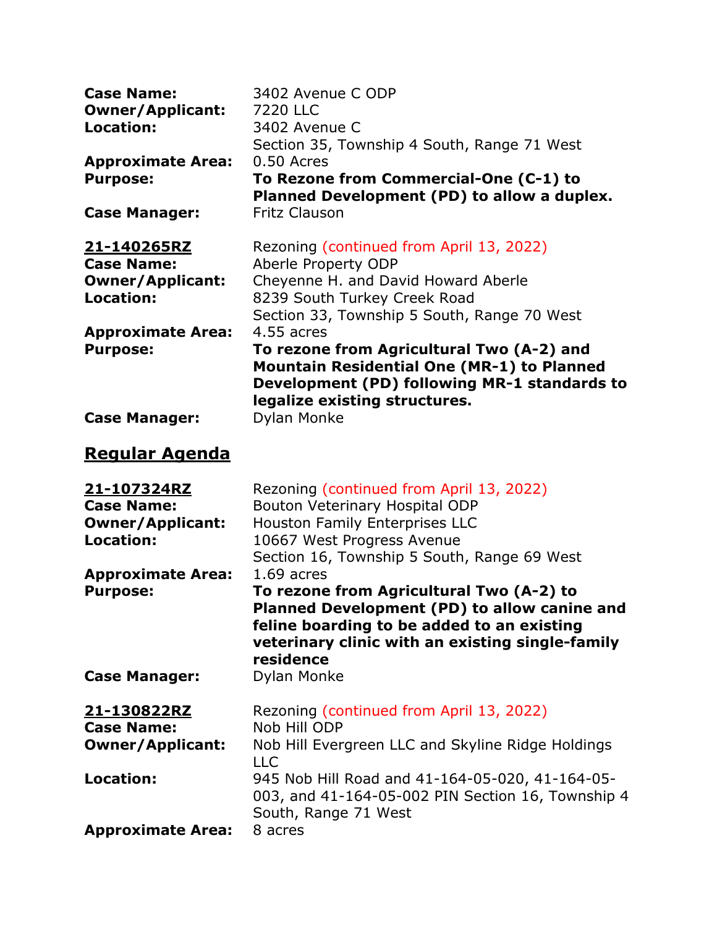| <b>Case Name:</b>        | 3402 Avenue C ODP                                 |
|--------------------------|---------------------------------------------------|
| <b>Owner/Applicant:</b>  | 7220 LLC                                          |
| <b>Location:</b>         | 3402 Avenue C                                     |
|                          | Section 35, Township 4 South, Range 71 West       |
| <b>Approximate Area:</b> | 0.50 Acres                                        |
| <b>Purpose:</b>          | To Rezone from Commercial-One (C-1) to            |
|                          | Planned Development (PD) to allow a duplex.       |
| <b>Case Manager:</b>     | <b>Fritz Clauson</b>                              |
| <u>21-140265RZ</u>       | Rezoning (continued from April 13, 2022)          |
| <b>Case Name:</b>        | Aberle Property ODP                               |
| <b>Owner/Applicant:</b>  | Cheyenne H. and David Howard Aberle               |
| <b>Location:</b>         | 8239 South Turkey Creek Road                      |
|                          | Section 33, Township 5 South, Range 70 West       |
| <b>Approximate Area:</b> | 4.55 acres                                        |
| <b>Purpose:</b>          | To rezone from Agricultural Two (A-2) and         |
|                          | <b>Mountain Residential One (MR-1) to Planned</b> |
|                          | Development (PD) following MR-1 standards to      |
|                          | legalize existing structures.                     |
|                          | Dylan Monke                                       |
| <b>Case Manager:</b>     |                                                   |
|                          |                                                   |

# **Regular Agenda**

| 21-107324RZ              | Rezoning (continued from April 13, 2022)                                                                                                                    |
|--------------------------|-------------------------------------------------------------------------------------------------------------------------------------------------------------|
| <b>Case Name:</b>        | Bouton Veterinary Hospital ODP                                                                                                                              |
| <b>Owner/Applicant:</b>  | <b>Houston Family Enterprises LLC</b>                                                                                                                       |
| <b>Location:</b>         | 10667 West Progress Avenue                                                                                                                                  |
|                          | Section 16, Township 5 South, Range 69 West                                                                                                                 |
| <b>Approximate Area:</b> | $1.69$ acres                                                                                                                                                |
| <b>Purpose:</b>          | To rezone from Agricultural Two (A-2) to                                                                                                                    |
|                          | Planned Development (PD) to allow canine and<br>feline boarding to be added to an existing<br>veterinary clinic with an existing single-family<br>residence |
| <b>Case Manager:</b>     | Dylan Monke                                                                                                                                                 |
| 21-130822RZ              | Rezoning (continued from April 13, 2022)                                                                                                                    |
| <b>Case Name:</b>        | Nob Hill ODP                                                                                                                                                |
| <b>Owner/Applicant:</b>  | Nob Hill Evergreen LLC and Skyline Ridge Holdings<br><b>LLC</b>                                                                                             |
| <b>Location:</b>         | 945 Nob Hill Road and 41-164-05-020, 41-164-05-<br>003, and 41-164-05-002 PIN Section 16, Township 4<br>South, Range 71 West                                |
| <b>Approximate Area:</b> | 8 acres                                                                                                                                                     |